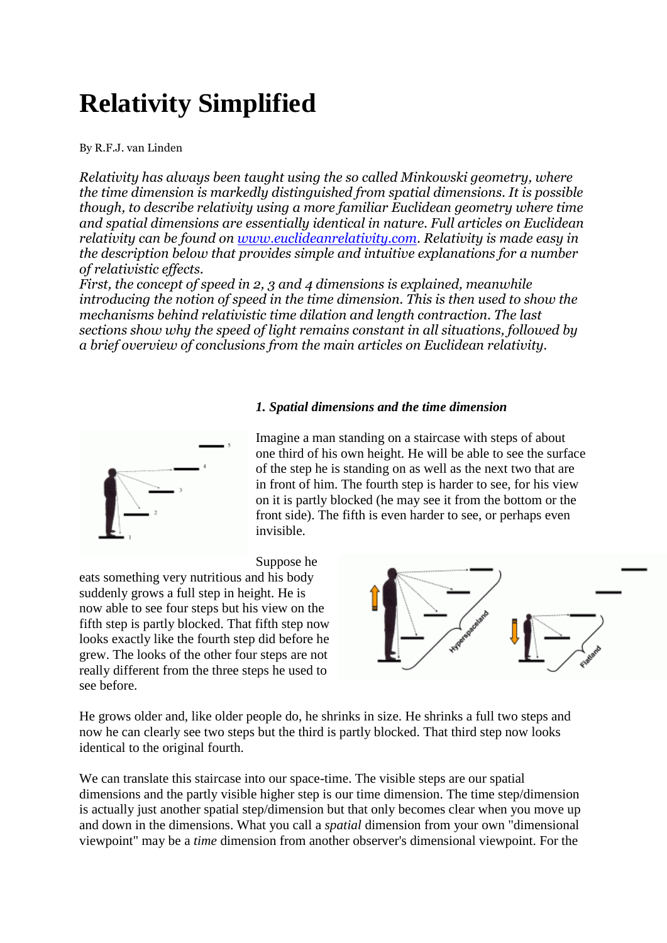# **Relativity Simplified**

By R.F.J. van Linden

*Relativity has always been taught using the so called Minkowski geometry, where the time dimension is markedly distinguished from spatial dimensions. It is possible though, to describe relativity using a more familiar Euclidean geometry where time and spatial dimensions are essentially identical in nature. Full articles on Euclidean relativity can be found on [www.euclideanrelativity.com.](http://www.euclideanrelativity.com/) Relativity is made easy in the description below that provides simple and intuitive explanations for a number of relativistic effects.*

*First, the concept of speed in 2, 3 and 4 dimensions is explained, meanwhile introducing the notion of speed in the time dimension. This is then used to show the mechanisms behind relativistic time dilation and length contraction. The last sections show why the speed of light remains constant in all situations, followed by a brief overview of conclusions from the main articles on Euclidean relativity.*

#### *1. Spatial dimensions and the time dimension*



Imagine a man standing on a staircase with steps of about one third of his own height. He will be able to see the surface of the step he is standing on as well as the next two that are in front of him. The fourth step is harder to see, for his view on it is partly blocked (he may see it from the bottom or the front side). The fifth is even harder to see, or perhaps even invisible.

Suppose he

eats something very nutritious and his body suddenly grows a full step in height. He is now able to see four steps but his view on the fifth step is partly blocked. That fifth step now looks exactly like the fourth step did before he grew. The looks of the other four steps are not really different from the three steps he used to see before.



He grows older and, like older people do, he shrinks in size. He shrinks a full two steps and now he can clearly see two steps but the third is partly blocked. That third step now looks identical to the original fourth.

We can translate this staircase into our space-time. The visible steps are our spatial dimensions and the partly visible higher step is our time dimension. The time step/dimension is actually just another spatial step/dimension but that only becomes clear when you move up and down in the dimensions. What you call a *spatial* dimension from your own "dimensional viewpoint" may be a *time* dimension from another observer's dimensional viewpoint. For the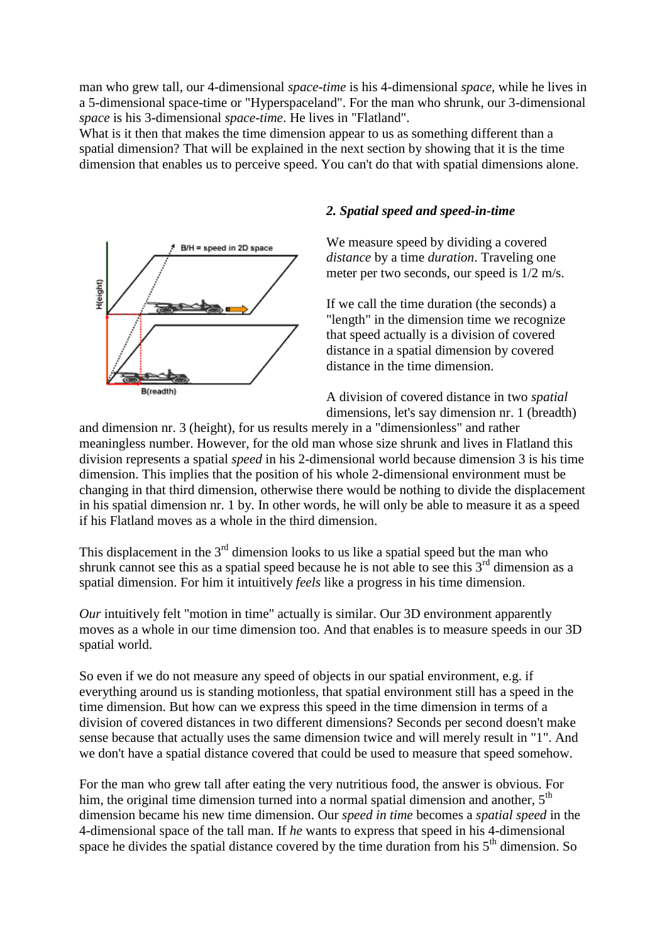man who grew tall, our 4-dimensional *space-time* is his 4-dimensional *space,* while he lives in a 5-dimensional space-time or "Hyperspaceland". For the man who shrunk, our 3-dimensional *space* is his 3-dimensional *space-time*. He lives in "Flatland".

What is it then that makes the time dimension appear to us as something different than a spatial dimension? That will be explained in the next section by showing that it is the time dimension that enables us to perceive speed. You can't do that with spatial dimensions alone.



#### *2. Spatial speed and speed-in-time*

We measure speed by dividing a covered *distance* by a time *duration*. Traveling one meter per two seconds, our speed is 1/2 m/s.

If we call the time duration (the seconds) a "length" in the dimension time we recognize that speed actually is a division of covered distance in a spatial dimension by covered distance in the time dimension.

A division of covered distance in two *spatial* dimensions, let's say dimension nr. 1 (breadth)

and dimension nr. 3 (height), for us results merely in a "dimensionless" and rather meaningless number. However, for the old man whose size shrunk and lives in Flatland this division represents a spatial *speed* in his 2-dimensional world because dimension 3 is his time dimension. This implies that the position of his whole 2-dimensional environment must be changing in that third dimension, otherwise there would be nothing to divide the displacement in his spatial dimension nr. 1 by. In other words, he will only be able to measure it as a speed if his Flatland moves as a whole in the third dimension.

This displacement in the  $3<sup>rd</sup>$  dimension looks to us like a spatial speed but the man who shrunk cannot see this as a spatial speed because he is not able to see this  $3<sup>rd</sup>$  dimension as a spatial dimension. For him it intuitively *feels* like a progress in his time dimension.

*Our* intuitively felt "motion in time" actually is similar. Our 3D environment apparently moves as a whole in our time dimension too. And that enables is to measure speeds in our 3D spatial world.

So even if we do not measure any speed of objects in our spatial environment, e.g. if everything around us is standing motionless, that spatial environment still has a speed in the time dimension. But how can we express this speed in the time dimension in terms of a division of covered distances in two different dimensions? Seconds per second doesn't make sense because that actually uses the same dimension twice and will merely result in "1". And we don't have a spatial distance covered that could be used to measure that speed somehow.

For the man who grew tall after eating the very nutritious food, the answer is obvious. For him, the original time dimension turned into a normal spatial dimension and another,  $5<sup>th</sup>$ dimension became his new time dimension. Our *speed in time* becomes a *spatial speed* in the 4-dimensional space of the tall man. If *he* wants to express that speed in his 4-dimensional space he divides the spatial distance covered by the time duration from his  $5<sup>th</sup>$  dimension. So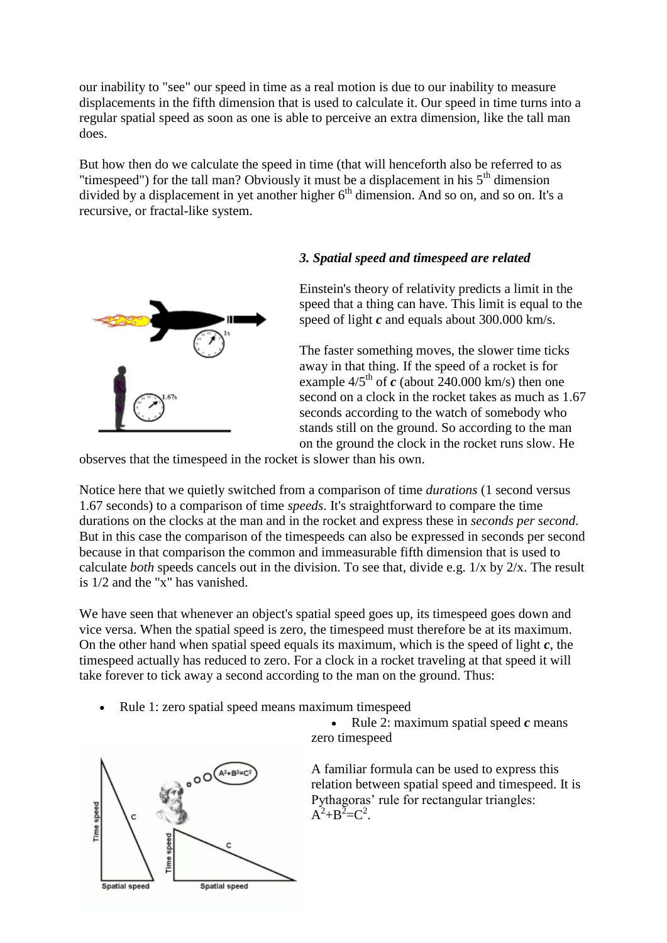our inability to "see" our speed in time as a real motion is due to our inability to measure displacements in the fifth dimension that is used to calculate it. Our speed in time turns into a regular spatial speed as soon as one is able to perceive an extra dimension, like the tall man does.

But how then do we calculate the speed in time (that will henceforth also be referred to as "timespeed") for the tall man? Obviously it must be a displacement in his  $5<sup>th</sup>$  dimension divided by a displacement in yet another higher  $6<sup>th</sup>$  dimension. And so on, and so on. It's a recursive, or fractal-like system.



#### *3. Spatial speed and timespeed are related*

Einstein's theory of relativity predicts a limit in the speed that a thing can have. This limit is equal to the speed of light *c* and equals about 300.000 km/s.

The faster something moves, the slower time ticks away in that thing. If the speed of a rocket is for example  $4/5<sup>th</sup>$  of  $\vec{c}$  (about 240.000 km/s) then one second on a clock in the rocket takes as much as 1.67 seconds according to the watch of somebody who stands still on the ground. So according to the man on the ground the clock in the rocket runs slow. He

observes that the timespeed in the rocket is slower than his own.

Notice here that we quietly switched from a comparison of time *durations* (1 second versus 1.67 seconds) to a comparison of time *speeds*. It's straightforward to compare the time durations on the clocks at the man and in the rocket and express these in *seconds per second*. But in this case the comparison of the timespeeds can also be expressed in seconds per second because in that comparison the common and immeasurable fifth dimension that is used to calculate *both* speeds cancels out in the division. To see that, divide e.g. 1/x by 2/x. The result is 1/2 and the "x" has vanished.

We have seen that whenever an object's spatial speed goes up, its timespeed goes down and vice versa. When the spatial speed is zero, the timespeed must therefore be at its maximum. On the other hand when spatial speed equals its maximum, which is the speed of light *c*, the timespeed actually has reduced to zero. For a clock in a rocket traveling at that speed it will take forever to tick away a second according to the man on the ground. Thus:

Rule 1: zero spatial speed means maximum timespeed

Exercise 2: maximum spatial speed  $c$  means zero timespeed



A familiar formula can be used to express this relation between spatial speed and timespeed. It is Pythagoras' rule for rectangular triangles:  $A^2 + B^2 = C^2$ .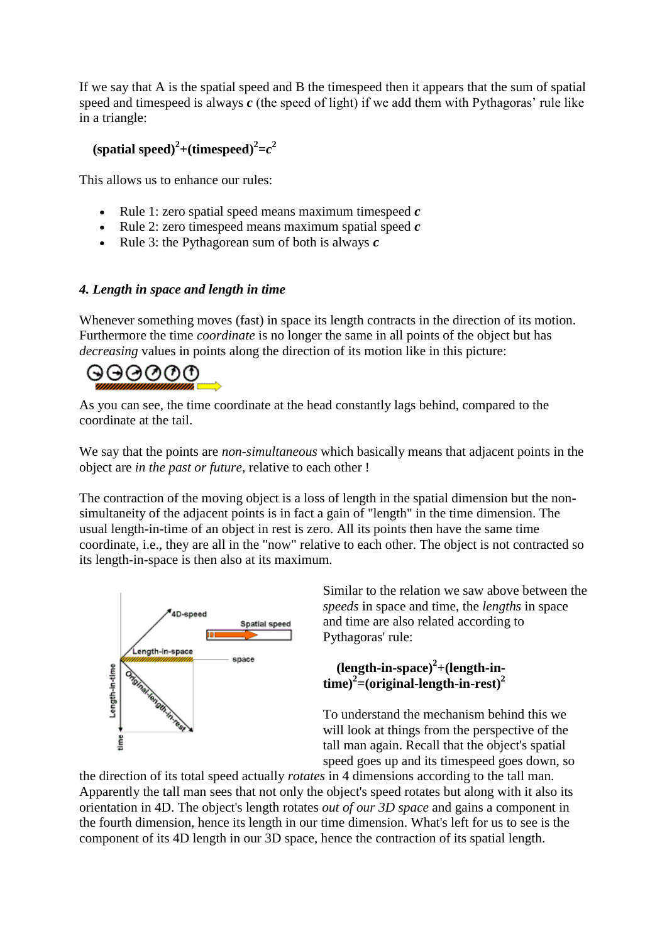If we say that A is the spatial speed and B the timespeed then it appears that the sum of spatial speed and timespeed is always *c* (the speed of light) if we add them with Pythagoras' rule like in a triangle:

## **(spatial speed)**<sup>2</sup>+(**timespeed**)<sup>2</sup>= $c^2$

This allows us to enhance our rules:

- Rule 1: zero spatial speed means maximum timespeed *c*
- Rule 2: zero timespeed means maximum spatial speed *c*
- Rule 3: the Pythagorean sum of both is always *c*

#### *4. Length in space and length in time*

Whenever something moves (fast) in space its length contracts in the direction of its motion. Furthermore the time *coordinate* is no longer the same in all points of the object but has *decreasing* values in points along the direction of its motion like in this picture:



As you can see, the time coordinate at the head constantly lags behind, compared to the coordinate at the tail.

We say that the points are *non-simultaneous* which basically means that adjacent points in the object are *in the past or future*, relative to each other !

The contraction of the moving object is a loss of length in the spatial dimension but the nonsimultaneity of the adjacent points is in fact a gain of "length" in the time dimension. The usual length-in-time of an object in rest is zero. All its points then have the same time coordinate, i.e., they are all in the "now" relative to each other. The object is not contracted so its length-in-space is then also at its maximum.



Similar to the relation we saw above between the *speeds* in space and time, the *lengths* in space and time are also related according to Pythagoras' rule:

### **(length-in-space)<sup>2</sup> +(length-intime)<sup>2</sup> =(original-length-in-rest)<sup>2</sup>**

To understand the mechanism behind this we will look at things from the perspective of the tall man again. Recall that the object's spatial speed goes up and its timespeed goes down, so

the direction of its total speed actually *rotates* in 4 dimensions according to the tall man. Apparently the tall man sees that not only the object's speed rotates but along with it also its orientation in 4D. The object's length rotates *out of our 3D space* and gains a component in the fourth dimension, hence its length in our time dimension. What's left for us to see is the component of its 4D length in our 3D space, hence the contraction of its spatial length.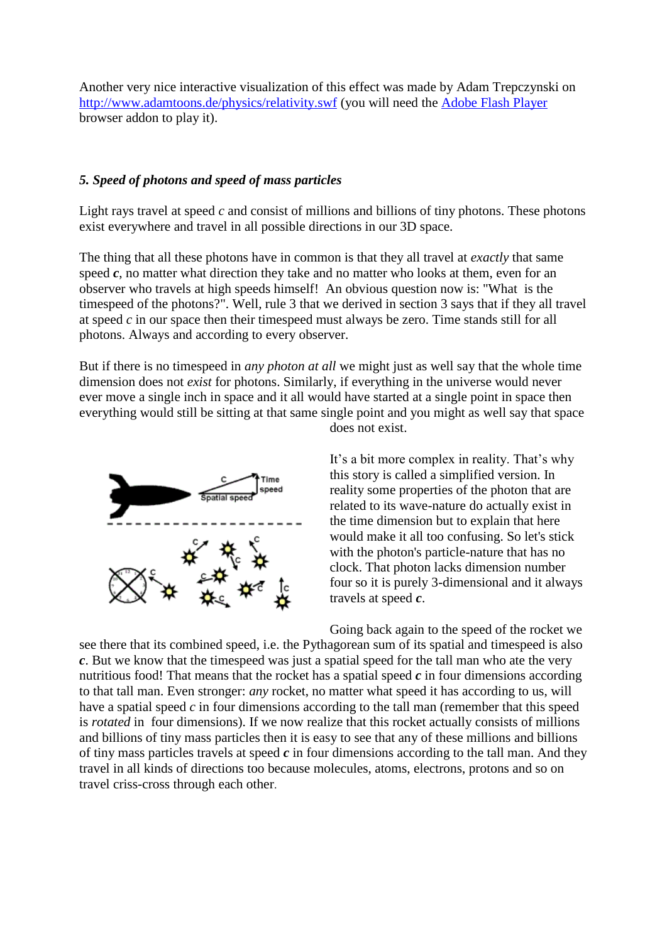Another very nice interactive visualization of this effect was made by Adam Trepczynski on <http://www.adamtoons.de/physics/relativity.swf> (you will need the [Adobe Flash Player](http://www.adobe.com/uk/products/flashplayer/) browser addon to play it).

#### *5. Speed of photons and speed of mass particles*

Light rays travel at speed *c* and consist of millions and billions of tiny photons. These photons exist everywhere and travel in all possible directions in our 3D space.

The thing that all these photons have in common is that they all travel at *exactly* that same speed  $c$ , no matter what direction they take and no matter who looks at them, even for an observer who travels at high speeds himself! An obvious question now is: "What is the timespeed of the photons?". Well, rule 3 that we derived in section 3 says that if they all travel at speed *c* in our space then their timespeed must always be zero. Time stands still for all photons. Always and according to every observer.

But if there is no timespeed in *any photon at all* we might just as well say that the whole time dimension does not *exist* for photons. Similarly, if everything in the universe would never ever move a single inch in space and it all would have started at a single point in space then everything would still be sitting at that same single point and you might as well say that space does not exist.



It's a bit more complex in reality. That's why this story is called a simplified version. In reality some properties of the photon that are related to its wave-nature do actually exist in the time dimension but to explain that here would make it all too confusing. So let's stick with the photon's particle-nature that has no clock. That photon lacks dimension number four so it is purely 3-dimensional and it always travels at speed *c*.

Going back again to the speed of the rocket we

see there that its combined speed, i.e. the Pythagorean sum of its spatial and timespeed is also *c*. But we know that the timespeed was just a spatial speed for the tall man who ate the very nutritious food! That means that the rocket has a spatial speed *c* in four dimensions according to that tall man. Even stronger: *any* rocket, no matter what speed it has according to us, will have a spatial speed *c* in four dimensions according to the tall man (remember that this speed is *rotated* in four dimensions). If we now realize that this rocket actually consists of millions and billions of tiny mass particles then it is easy to see that any of these millions and billions of tiny mass particles travels at speed *c* in four dimensions according to the tall man. And they travel in all kinds of directions too because molecules, atoms, electrons, protons and so on travel criss-cross through each other.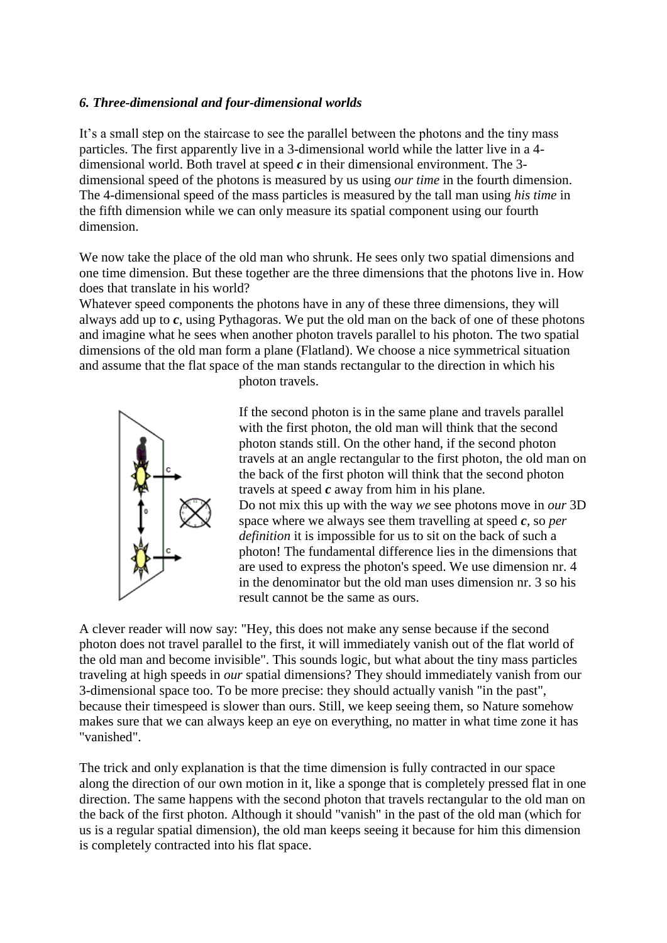#### *6. Three-dimensional and four-dimensional worlds*

It's a small step on the staircase to see the parallel between the photons and the tiny mass particles. The first apparently live in a 3-dimensional world while the latter live in a 4 dimensional world. Both travel at speed *c* in their dimensional environment. The 3 dimensional speed of the photons is measured by us using *our time* in the fourth dimension. The 4-dimensional speed of the mass particles is measured by the tall man using *his time* in the fifth dimension while we can only measure its spatial component using our fourth dimension.

We now take the place of the old man who shrunk. He sees only two spatial dimensions and one time dimension. But these together are the three dimensions that the photons live in. How does that translate in his world?

Whatever speed components the photons have in any of these three dimensions, they will always add up to *c*, using Pythagoras. We put the old man on the back of one of these photons and imagine what he sees when another photon travels parallel to his photon. The two spatial dimensions of the old man form a plane (Flatland). We choose a nice symmetrical situation and assume that the flat space of the man stands rectangular to the direction in which his



photon travels.

If the second photon is in the same plane and travels parallel with the first photon, the old man will think that the second photon stands still. On the other hand, if the second photon travels at an angle rectangular to the first photon, the old man on the back of the first photon will think that the second photon travels at speed *c* away from him in his plane. Do not mix this up with the way *we* see photons move in *our* 3D space where we always see them travelling at speed *c,* so *per definition* it is impossible for us to sit on the back of such a photon! The fundamental difference lies in the dimensions that are used to express the photon's speed. We use dimension nr. 4 in the denominator but the old man uses dimension nr. 3 so his result cannot be the same as ours.

A clever reader will now say: "Hey, this does not make any sense because if the second photon does not travel parallel to the first, it will immediately vanish out of the flat world of the old man and become invisible". This sounds logic, but what about the tiny mass particles traveling at high speeds in *our* spatial dimensions? They should immediately vanish from our 3-dimensional space too. To be more precise: they should actually vanish "in the past", because their timespeed is slower than ours. Still, we keep seeing them, so Nature somehow makes sure that we can always keep an eye on everything, no matter in what time zone it has "vanished".

The trick and only explanation is that the time dimension is fully contracted in our space along the direction of our own motion in it, like a sponge that is completely pressed flat in one direction. The same happens with the second photon that travels rectangular to the old man on the back of the first photon. Although it should "vanish" in the past of the old man (which for us is a regular spatial dimension), the old man keeps seeing it because for him this dimension is completely contracted into his flat space.